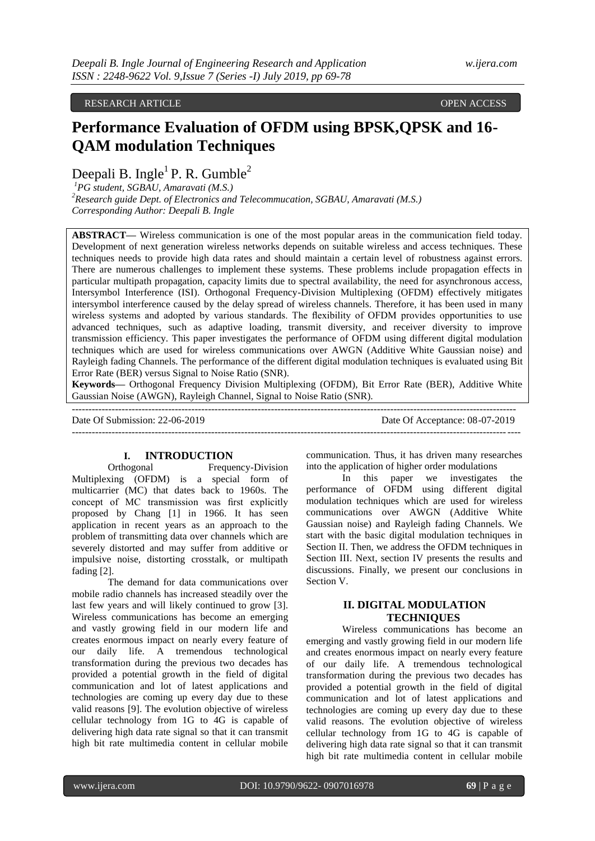RESEARCH ARTICLE OPEN ACCESS

# **Performance Evaluation of OFDM using BPSK,QPSK and 16- QAM modulation Techniques**

Deepali B. Ingle<sup>1</sup> P. R. Gumble<sup>2</sup>

*<sup>1</sup>PG student, SGBAU, Amaravati (M.S.)*

*<sup>2</sup>Research guide Dept. of Electronics and Telecommucation, SGBAU, Amaravati (M.S.) Corresponding Author: Deepali B. Ingle*

**ABSTRACT—** Wireless communication is one of the most popular areas in the communication field today. Development of next generation wireless networks depends on suitable wireless and access techniques. These techniques needs to provide high data rates and should maintain a certain level of robustness against errors. There are numerous challenges to implement these systems. These problems include propagation effects in particular multipath propagation, capacity limits due to spectral availability, the need for asynchronous access, Intersymbol Interference (ISI). Orthogonal Frequency-Division Multiplexing (OFDM) effectively mitigates intersymbol interference caused by the delay spread of wireless channels. Therefore, it has been used in many wireless systems and adopted by various standards. The flexibility of OFDM provides opportunities to use advanced techniques, such as adaptive loading, transmit diversity, and receiver diversity to improve transmission efficiency. This paper investigates the performance of OFDM using different digital modulation techniques which are used for wireless communications over AWGN (Additive White Gaussian noise) and Rayleigh fading Channels. The performance of the different digital modulation techniques is evaluated using Bit Error Rate (BER) versus Signal to Noise Ratio (SNR).

**Keywords—** Orthogonal Frequency Division Multiplexing (OFDM), Bit Error Rate (BER), Additive White Gaussian Noise (AWGN), Rayleigh Channel, Signal to Noise Ratio (SNR).

-------------------------------------------------------------------------------------------------------------------------------------- Date Of Submission: 22-06-2019 Date Of Acceptance: 08-07-2019 ---------------------------------------------------------------------------------------------------------------------------------------

## **I. INTRODUCTION**

Orthogonal Frequency-Division Multiplexing (OFDM) is a special form of multicarrier (MC) that dates back to 1960s. The concept of MC transmission was first explicitly proposed by Chang [1] in 1966. It has seen application in recent years as an approach to the problem of transmitting data over channels which are severely distorted and may suffer from additive or impulsive noise, distorting crosstalk, or multipath fading [2].

The demand for data communications over mobile radio channels has increased steadily over the last few years and will likely continued to grow [3]. Wireless communications has become an emerging and vastly growing field in our modern life and creates enormous impact on nearly every feature of our daily life. A tremendous technological transformation during the previous two decades has provided a potential growth in the field of digital communication and lot of latest applications and technologies are coming up every day due to these valid reasons [9]. The evolution objective of wireless cellular technology from 1G to 4G is capable of delivering high data rate signal so that it can transmit high bit rate multimedia content in cellular mobile

communication. Thus, it has driven many researches into the application of higher order modulations

In this paper we investigates the performance of OFDM using different digital modulation techniques which are used for wireless communications over AWGN (Additive White Gaussian noise) and Rayleigh fading Channels. We start with the basic digital modulation techniques in Section II. Then, we address the OFDM techniques in Section III. Next, section IV presents the results and discussions. Finally, we present our conclusions in Section V.

## **II. DIGITAL MODULATION TECHNIQUES**

Wireless communications has become an emerging and vastly growing field in our modern life and creates enormous impact on nearly every feature of our daily life. A tremendous technological transformation during the previous two decades has provided a potential growth in the field of digital communication and lot of latest applications and technologies are coming up every day due to these valid reasons. The evolution objective of wireless cellular technology from 1G to 4G is capable of delivering high data rate signal so that it can transmit high bit rate multimedia content in cellular mobile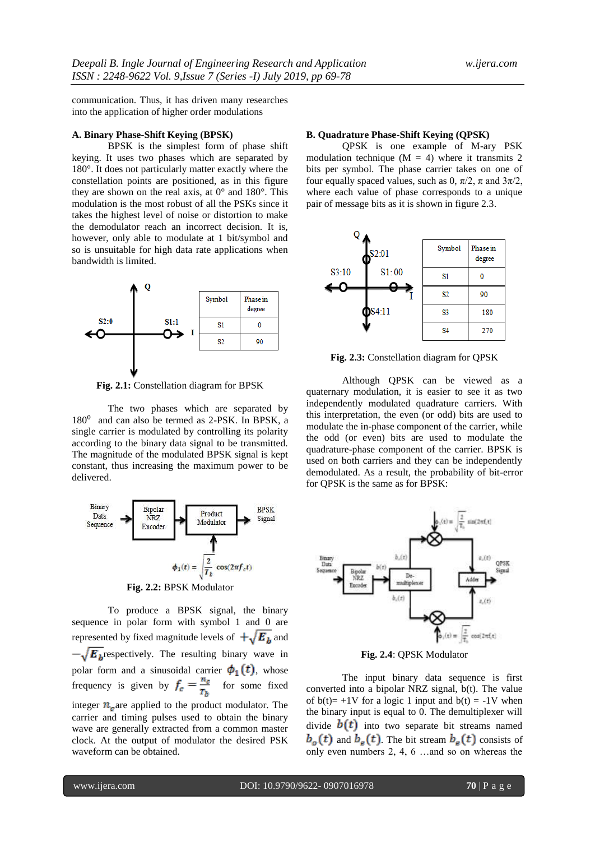communication. Thus, it has driven many researches into the application of higher order modulations

#### **A. Binary Phase-Shift Keying (BPSK)**

BPSK is the simplest form of phase shift keying. It uses two phases which are separated by 180°. It does not particularly matter exactly where the constellation points are positioned, as in this figure they are shown on the real axis, at  $0^{\circ}$  and  $180^{\circ}$ . This modulation is the most robust of all the PSKs since it takes the highest level of noise or distortion to make the demodulator reach an incorrect decision. It is, however, only able to modulate at 1 bit/symbol and so is unsuitable for high data rate applications when bandwidth is limited.



**Fig. 2.1:** Constellation diagram for BPSK

The two phases which are separated by  $180<sup>0</sup>$  and can also be termed as 2-PSK. In BPSK, a single carrier is modulated by controlling its polarity according to the binary data signal to be transmitted. The magnitude of the modulated BPSK signal is kept constant, thus increasing the maximum power to be delivered.



**Fig. 2.2:** BPSK Modulator

To produce a BPSK signal, the binary sequence in polar form with symbol 1 and 0 are represented by fixed magnitude levels of  $+\sqrt{E_b}$  and  $r-\sqrt{E_b}$  respectively. The resulting binary wave in polar form and a sinusoidal carrier  $\phi_1(t)$ , whose frequency is given by  $f_c = \frac{n_c}{T_b}$  for some fixed integer  $n<sub>c</sub>$  are applied to the product modulator. The carrier and timing pulses used to obtain the binary wave are generally extracted from a common master clock. At the output of modulator the desired PSK waveform can be obtained.

#### **B. Quadrature Phase-Shift Keying (QPSK)**

QPSK is one example of M-ary PSK modulation technique  $(M = 4)$  where it transmits 2 bits per symbol. The phase carrier takes on one of four equally spaced values, such as 0,  $\pi/2$ ,  $\pi$  and  $3\pi/2$ , where each value of phase corresponds to a unique pair of message bits as it is shown in figure 2.3.



**Fig. 2.3:** Constellation diagram for QPSK

Although QPSK can be viewed as a quaternary modulation, it is easier to see it as two independently modulated quadrature carriers. With this interpretation, the even (or odd) bits are used to modulate the in-phase component of the carrier, while the odd (or even) bits are used to modulate the quadrature-phase component of the carrier. BPSK is used on both carriers and they can be independently demodulated. As a result, the probability of bit-error for QPSK is the same as for BPSK:



**Fig. 2.4**: QPSK Modulator

The input binary data sequence is first converted into a bipolar NRZ signal, b(t). The value of  $b(t)=+1V$  for a logic 1 input and  $b(t) = -1V$  when the binary input is equal to 0. The demultiplexer will divide  $b(t)$  into two separate bit streams named  $b_{\sigma}(t)$  and  $b_{\sigma}(t)$ . The bit stream  $b_{\sigma}(t)$  consists of only even numbers 2, 4, 6 …and so on whereas the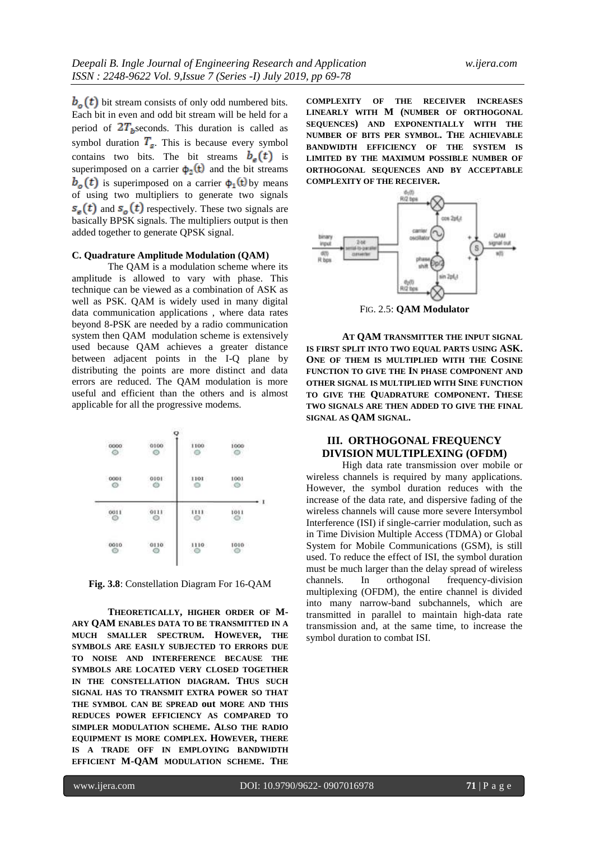$b<sub>o</sub>(t)$  bit stream consists of only odd numbered bits. Each bit in even and odd bit stream will be held for a period of  $2T_b$  seconds. This duration is called as symbol duration  $T_s$ . This is because every symbol contains two bits. The bit streams  $b_{\epsilon}(t)$  is superimposed on a carrier  $\phi_2(t)$  and the bit streams  $b_{\alpha}(t)$  is superimposed on a carrier  $\phi_1(t)$  by means of using two multipliers to generate two signals  $s_{\epsilon}(t)$  and  $s_{\rho}(t)$  respectively. These two signals are basically BPSK signals. The multipliers output is then added together to generate QPSK signal.

## **C. Quadrature Amplitude Modulation (QAM)**

The QAM is a modulation scheme where its amplitude is allowed to vary with phase. This technique can be viewed as a combination of ASK as well as PSK. QAM is widely used in many digital data communication applications , where data rates beyond 8-PSK are needed by a radio communication system then QAM modulation scheme is extensively used because QAM achieves a greater distance between adjacent points in the I-Q plane by distributing the points are more distinct and data errors are reduced. The QAM modulation is more useful and efficient than the others and is almost applicable for all the progressive modems.

| m               | 1100<br>G.<br><b>In Paris</b> | 1000<br>o       |
|-----------------|-------------------------------|-----------------|
| 0101<br>ං       | 1101<br>െ                     | 1001<br>$\circ$ |
| 0111<br>⊙       | $\overline{\mathbf{m}}$       | 011             |
| 0110<br>$\circ$ | 1110<br>$\circ$               | 1010<br>1001    |
|                 | 0100                          |                 |

**Fig. 3.8**: Constellation Diagram For 16-QAM

**THEORETICALLY, HIGHER ORDER OF M-ARY QAM ENABLES DATA TO BE TRANSMITTED IN A MUCH SMALLER SPECTRUM. HOWEVER, THE SYMBOLS ARE EASILY SUBJECTED TO ERRORS DUE TO NOISE AND INTERFERENCE BECAUSE THE SYMBOLS ARE LOCATED VERY CLOSED TOGETHER IN THE CONSTELLATION DIAGRAM. THUS SUCH SIGNAL HAS TO TRANSMIT EXTRA POWER SO THAT THE SYMBOL CAN BE SPREAD out MORE AND THIS REDUCES POWER EFFICIENCY AS COMPARED TO SIMPLER MODULATION SCHEME. ALSO THE RADIO EQUIPMENT IS MORE COMPLEX. HOWEVER, THERE IS A TRADE OFF IN EMPLOYING BANDWIDTH EFFICIENT M-QAM MODULATION SCHEME. THE** 

**COMPLEXITY OF THE RECEIVER INCREASES LINEARLY WITH M (NUMBER OF ORTHOGONAL SEQUENCES) AND EXPONENTIALLY WITH THE NUMBER OF BITS PER SYMBOL. THE ACHIEVABLE BANDWIDTH EFFICIENCY OF THE SYSTEM IS LIMITED BY THE MAXIMUM POSSIBLE NUMBER OF ORTHOGONAL SEQUENCES AND BY ACCEPTABLE COMPLEXITY OF THE RECEIVER.**



FIG. 2.5: **QAM Modulator**

**AT QAM TRANSMITTER THE INPUT SIGNAL IS FIRST SPLIT INTO TWO EQUAL PARTS USING ASK. ONE OF THEM IS MULTIPLIED WITH THE COSINE FUNCTION TO GIVE THE IN PHASE COMPONENT AND OTHER SIGNAL IS MULTIPLIED WITH SINE FUNCTION TO GIVE THE QUADRATURE COMPONENT. THESE TWO SIGNALS ARE THEN ADDED TO GIVE THE FINAL SIGNAL AS QAM SIGNAL.**

## **III. ORTHOGONAL FREQUENCY DIVISION MULTIPLEXING (OFDM)**

High data rate transmission over mobile or wireless channels is required by many applications. However, the symbol duration reduces with the increase of the data rate, and dispersive fading of the wireless channels will cause more severe Intersymbol Interference (ISI) if single-carrier modulation, such as in Time Division Multiple Access (TDMA) or Global System for Mobile Communications (GSM), is still used. To reduce the effect of ISI, the symbol duration must be much larger than the delay spread of wireless channels. In orthogonal frequency-division multiplexing (OFDM), the entire channel is divided into many narrow-band subchannels, which are transmitted in parallel to maintain high-data rate transmission and, at the same time, to increase the symbol duration to combat ISI.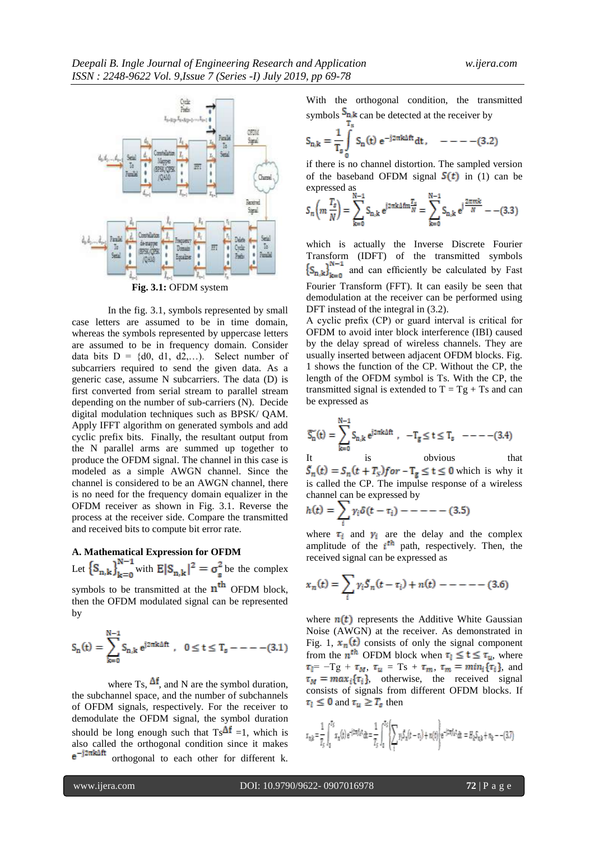

In the fig. 3.1, symbols represented by small case letters are assumed to be in time domain, whereas the symbols represented by uppercase letters are assumed to be in frequency domain. Consider data bits  $D = \{d0, d1, d2,...\}$ . Select number of subcarriers required to send the given data. As a generic case, assume N subcarriers. The data (D) is first converted from serial stream to parallel stream depending on the number of sub-carriers (N). Decide digital modulation techniques such as BPSK/ QAM. Apply IFFT algorithm on generated symbols and add cyclic prefix bits. Finally, the resultant output from the N parallel arms are summed up together to produce the OFDM signal. The channel in this case is modeled as a simple AWGN channel. Since the channel is considered to be an AWGN channel, there is no need for the frequency domain equalizer in the OFDM receiver as shown in Fig. 3.1. Reverse the process at the receiver side. Compare the transmitted and received bits to compute bit error rate.

#### **A. Mathematical Expression for OFDM**

Let  $\{S_{n,k}\}_{k=0}$  with  $E|S_{n,k}|^2 = \sigma^2$  be the complex symbols to be transmitted at the  $n<sup>th</sup>$  OFDM block, then the OFDM modulated signal can be represented by

$$
S_n(t) = \sum_{k=0}^{N-1} S_{n,k} e^{j2\pi k \Delta ft} \ , \quad 0 \le t \le T_s --- (3.1)
$$

where Ts,  $\Delta f$ , and N are the symbol duration, the subchannel space, and the number of subchannels of OFDM signals, respectively. For the receiver to demodulate the OFDM signal, the symbol duration should be long enough such that  $Ts^{\Delta f} = 1$ , which is also called the orthogonal condition since it makes  $e^{-j2\pi k\Delta ft}$  orthogonal to each other for different k.

With the orthogonal condition, the transmitted symbols  $S_{n,k}$  can be detected at the receiver by

$$
S_{n,k} = \frac{1}{T_s} \int_{0}^{T_s} S_n(t) e^{-j2\pi k \Delta \hat{r} t} dt, \quad --- (3.2)
$$

if there is no channel distortion. The sampled version of the baseband OFDM signal  $S(t)$  in (1) can be expressed as

$$
S_n\left(m\,\frac{T_s}{N}\right) = \sum_{k=0}^{N-1} S_{n,k} e^{j2\pi k\Delta f m \frac{T_s}{N}} = \sum_{k=0}^{N-1} S_{n,k} e^{j\frac{2\pi mk}{N}} - (3.3)
$$

which is actually the Inverse Discrete Fourier Transform (IDFT) of the transmitted symbols  $\{S_{n,k}\}_{k=0}^{N-1}$  and can efficiently be calculated by Fast Fourier Transform (FFT). It can easily be seen that demodulation at the receiver can be performed using DFT instead of the integral in (3.2).

A cyclic prefix (CP) or guard interval is critical for OFDM to avoid inter block interference (IBI) caused by the delay spread of wireless channels. They are usually inserted between adjacent OFDM blocks. Fig. 1 shows the function of the CP. Without the CP, the length of the OFDM symbol is Ts. With the CP, the transmitted signal is extended to  $T = Tg + Ts$  and can be expressed as

$$
\begin{aligned} \widetilde{S_n}(t) &= \sum_{k=0}^{N-1} S_{n,k} \, e^{j 2 \pi k \Delta \hat{t} t} \ , \quad -T_g \leq t \leq T_s \quad -- --(3.4) \\ & \text{It} \qquad \qquad \mathrm{is} \qquad \qquad \mathrm{obvious} \qquad \qquad \mathrm{that} \end{aligned}
$$

 $S_n(t) = S_n(t + T_s)$  for  $-T_g \le t \le 0$  which is why it is called the CP. The impulse response of a wireless channel can be expressed by

$$
h(t) = \sum_{i} \gamma_i \delta(t - \tau_i) - - - - - (3.5)
$$

where  $\tau_i$  and  $\gamma_i$  are the delay and the complex amplitude of the  $i<sup>th</sup>$  path, respectively. Then, the received signal can be expressed as

$$
x_n(t) = \sum_i \gamma_i \mathcal{S}_n(t - \tau_i) + n(t) - \dots - \dots - (3.6)
$$

where  $n(t)$  represents the Additive White Gaussian Noise (AWGN) at the receiver. As demonstrated in Fig. 1,  $x_n(t)$  consists of only the signal component from the  $n^{th}$  OFDM block when  $\tau_l \leq t \leq \tau_u$ , where  $\tau_l$ = -Tg +  $\tau_M$ ,  $\tau_u$  = Ts +  $\tau_m$ ,  $\tau_m$  =  $min_i {\tau_i}$ , and  $\tau_M = max_i {\{\tau_i\}}$ , otherwise, the received signal consists of signals from different OFDM blocks. If  $\tau_l \leq 0$  and  $\tau_u \geq T_s$  then

$$
x_{n,k} = \frac{1}{T_s} \int_0^{T_s} x_n(t) e^{-j2\pi f_0 t} dt = \frac{1}{T_s} \int_0^{T_s} \left\{ \sum_i \gamma_i S_n(t - \tau_i) + n(t) \right\} e^{-j2\pi f_0 t} dt = H_k S_{n,k} + n_k - -(3.7)
$$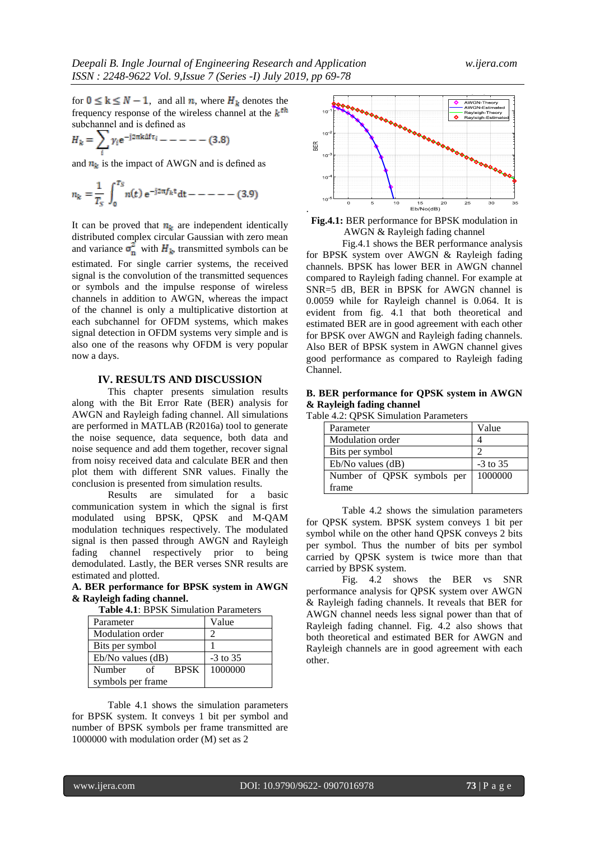for  $0 \leq k \leq N-1$ , and all *n*, where  $H_k$  denotes the frequency response of the wireless channel at the  $k^{\text{th}}$ subchannel and is defined as

$$
H_k = \sum_i \gamma_i e^{-j2\pi k \Delta f \tau_i} - - - - - (3.8)
$$

and  $n_k$  is the impact of AWGN and is defined as

$$
n_k = \frac{1}{T_s} \int_0^{T_s} n(t) e^{-j2\pi f_k t} dt - - - - - (3.9)
$$

It can be proved that  $n_k$  are independent identically distributed complex circular Gaussian with zero mean and variance  $\sigma_n^2$  with  $H_k$ , transmitted symbols can be estimated. For single carrier systems, the received signal is the convolution of the transmitted sequences or symbols and the impulse response of wireless channels in addition to AWGN, whereas the impact of the channel is only a multiplicative distortion at each subchannel for OFDM systems, which makes signal detection in OFDM systems very simple and is also one of the reasons why OFDM is very popular now a days.

#### **IV. RESULTS AND DISCUSSION**

This chapter presents simulation results along with the Bit Error Rate (BER) analysis for AWGN and Rayleigh fading channel. All simulations are performed in MATLAB (R2016a) tool to generate the noise sequence, data sequence, both data and noise sequence and add them together, recover signal from noisy received data and calculate BER and then plot them with different SNR values. Finally the conclusion is presented from simulation results.

Results are simulated for a basic communication system in which the signal is first modulated using BPSK, QPSK and M-QAM modulation techniques respectively. The modulated signal is then passed through AWGN and Rayleigh fading channel respectively prior to being demodulated. Lastly, the BER verses SNR results are estimated and plotted.

**A. BER performance for BPSK system in AWGN & Rayleigh fading channel.**

| Parameter             |             | Value      |  |
|-----------------------|-------------|------------|--|
| Modulation order      |             |            |  |
| Bits per symbol       |             |            |  |
| $Eb/No$ values $(dB)$ |             | $-3$ to 35 |  |
| Number<br>of          | <b>BPSK</b> | 1000000    |  |
| symbols per frame     |             |            |  |

Table 4.1 shows the simulation parameters for BPSK system. It conveys 1 bit per symbol and number of BPSK symbols per frame transmitted are 1000000 with modulation order (M) set as 2



**Fig.4.1:** BER performance for BPSK modulation in AWGN & Rayleigh fading channel

Fig.4.1 shows the BER performance analysis for BPSK system over AWGN & Rayleigh fading channels. BPSK has lower BER in AWGN channel compared to Rayleigh fading channel. For example at SNR=5 dB, BER in BPSK for AWGN channel is 0.0059 while for Rayleigh channel is 0.064. It is evident from fig. 4.1 that both theoretical and estimated BER are in good agreement with each other for BPSK over AWGN and Rayleigh fading channels. Also BER of BPSK system in AWGN channel gives good performance as compared to Rayleigh fading Channel.

## **B. BER performance for QPSK system in AWGN & Rayleigh fading channel**

Table 4.2: QPSK Simulation Parameters

| Parameter                  | Value      |
|----------------------------|------------|
| Modulation order           |            |
| Bits per symbol            |            |
| $Eb/No$ values $(dB)$      | $-3$ to 35 |
| Number of QPSK symbols per | 1000000    |
| frame                      |            |

Table 4.2 shows the simulation parameters for QPSK system. BPSK system conveys 1 bit per symbol while on the other hand QPSK conveys 2 bits per symbol. Thus the number of bits per symbol carried by QPSK system is twice more than that carried by BPSK system.

Fig. 4.2 shows the BER vs SNR performance analysis for QPSK system over AWGN & Rayleigh fading channels. It reveals that BER for AWGN channel needs less signal power than that of Rayleigh fading channel. Fig. 4.2 also shows that both theoretical and estimated BER for AWGN and Rayleigh channels are in good agreement with each other.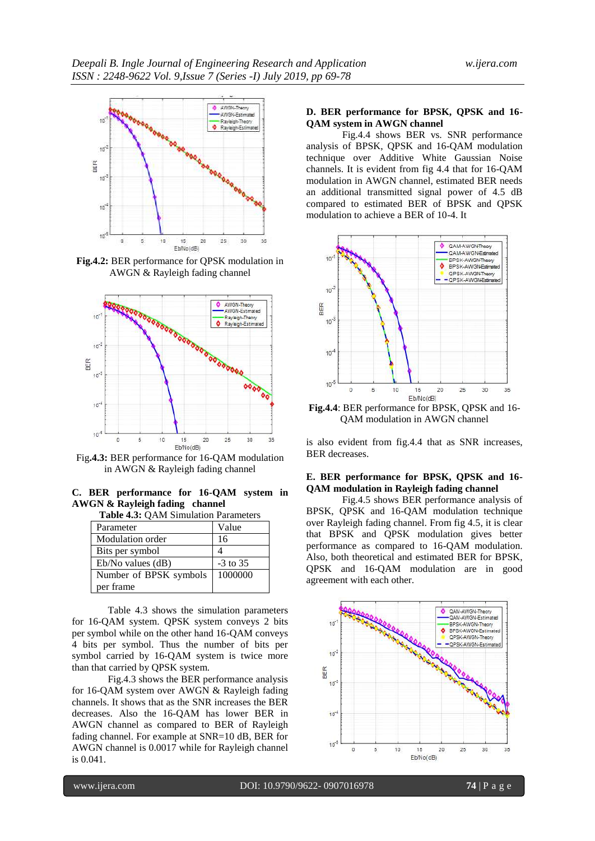

**Fig.4.2:** BER performance for QPSK modulation in AWGN & Rayleigh fading channel



Fig**.4.3:** BER performance for 16-QAM modulation in AWGN & Rayleigh fading channel

**C. BER performance for 16-QAM system in AWGN & Rayleigh fading channel**

| Table 4.3: QAM Simulation Parameters |            |  |
|--------------------------------------|------------|--|
| Parameter                            | Value      |  |
| Modulation order                     | 16         |  |
| Bits per symbol                      |            |  |
| $Eb/No$ values $(dB)$                | $-3$ to 35 |  |
| Number of BPSK symbols               | 1000000    |  |
| per frame                            |            |  |

Table 4.3 shows the simulation parameters for 16-QAM system. QPSK system conveys 2 bits per symbol while on the other hand 16-QAM conveys 4 bits per symbol. Thus the number of bits per symbol carried by 16-QAM system is twice more than that carried by QPSK system.

Fig.4.3 shows the BER performance analysis for 16-QAM system over AWGN & Rayleigh fading channels. It shows that as the SNR increases the BER decreases. Also the 16-QAM has lower BER in AWGN channel as compared to BER of Rayleigh fading channel. For example at SNR=10 dB, BER for AWGN channel is 0.0017 while for Rayleigh channel is 0.041.

#### **D. BER performance for BPSK, QPSK and 16- QAM system in AWGN channel**

Fig.4.4 shows BER vs. SNR performance analysis of BPSK, QPSK and 16-QAM modulation technique over Additive White Gaussian Noise channels. It is evident from fig 4.4 that for 16-QAM modulation in AWGN channel, estimated BER needs an additional transmitted signal power of 4.5 dB compared to estimated BER of BPSK and QPSK modulation to achieve a BER of 10-4. It



**Fig.4.4**: BER performance for BPSK, QPSK and 16- QAM modulation in AWGN channel

is also evident from fig.4.4 that as SNR increases, BER decreases.

#### **E. BER performance for BPSK, QPSK and 16- QAM modulation in Rayleigh fading channel**

Fig.4.5 shows BER performance analysis of BPSK, QPSK and 16-QAM modulation technique over Rayleigh fading channel. From fig 4.5, it is clear that BPSK and QPSK modulation gives better performance as compared to 16-QAM modulation. Also, both theoretical and estimated BER for BPSK, QPSK and 16-QAM modulation are in good agreement with each other.

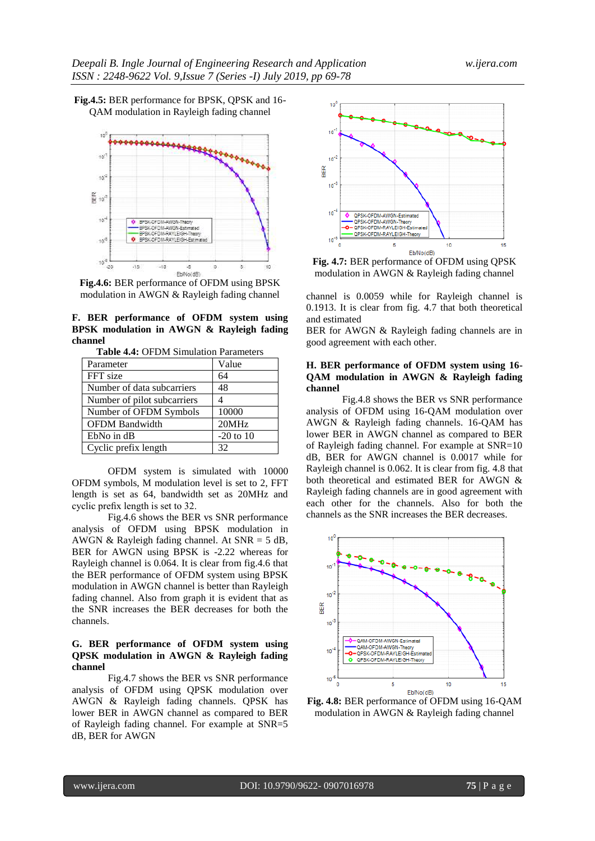**Fig.4.5:** BER performance for BPSK, QPSK and 16- QAM modulation in Rayleigh fading channel



modulation in AWGN & Rayleigh fading channel

**F. BER performance of OFDM system using BPSK modulation in AWGN & Rayleigh fading channel**

|  |  | <b>Table 4.4: OFDM Simulation Parameters</b> |  |
|--|--|----------------------------------------------|--|
|--|--|----------------------------------------------|--|

| Parameter                   | Value       |
|-----------------------------|-------------|
| FFT size                    | 64          |
| Number of data subcarriers  | 48          |
| Number of pilot subcarriers |             |
| Number of OFDM Symbols      | 10000       |
| <b>OFDM</b> Bandwidth       | 20MHz       |
| EbNo in dB                  | $-20$ to 10 |
| Cyclic prefix length        | 32          |

OFDM system is simulated with 10000 OFDM symbols, M modulation level is set to 2, FFT length is set as 64, bandwidth set as 20MHz and cyclic prefix length is set to 32.

Fig.4.6 shows the BER vs SNR performance analysis of OFDM using BPSK modulation in AWGN & Rayleigh fading channel. At SNR = 5 dB, BER for AWGN using BPSK is -2.22 whereas for Rayleigh channel is 0.064. It is clear from fig.4.6 that the BER performance of OFDM system using BPSK modulation in AWGN channel is better than Rayleigh fading channel. Also from graph it is evident that as the SNR increases the BER decreases for both the channels.

#### **G. BER performance of OFDM system using QPSK modulation in AWGN & Rayleigh fading channel**

Fig.4.7 shows the BER vs SNR performance analysis of OFDM using QPSK modulation over AWGN & Rayleigh fading channels. QPSK has lower BER in AWGN channel as compared to BER of Rayleigh fading channel. For example at SNR=5 dB, BER for AWGN



**Fig. 4.7:** BER performance of OFDM using QPSK modulation in AWGN & Rayleigh fading channel

channel is 0.0059 while for Rayleigh channel is 0.1913. It is clear from fig. 4.7 that both theoretical and estimated

BER for AWGN & Rayleigh fading channels are in good agreement with each other.

## **H. BER performance of OFDM system using 16- QAM modulation in AWGN & Rayleigh fading channel**

Fig.4.8 shows the BER vs SNR performance analysis of OFDM using 16-QAM modulation over AWGN & Rayleigh fading channels. 16-QAM has lower BER in AWGN channel as compared to BER of Rayleigh fading channel. For example at SNR=10 dB, BER for AWGN channel is 0.0017 while for Rayleigh channel is 0.062. It is clear from fig. 4.8 that both theoretical and estimated BER for AWGN & Rayleigh fading channels are in good agreement with each other for the channels. Also for both the channels as the SNR increases the BER decreases.



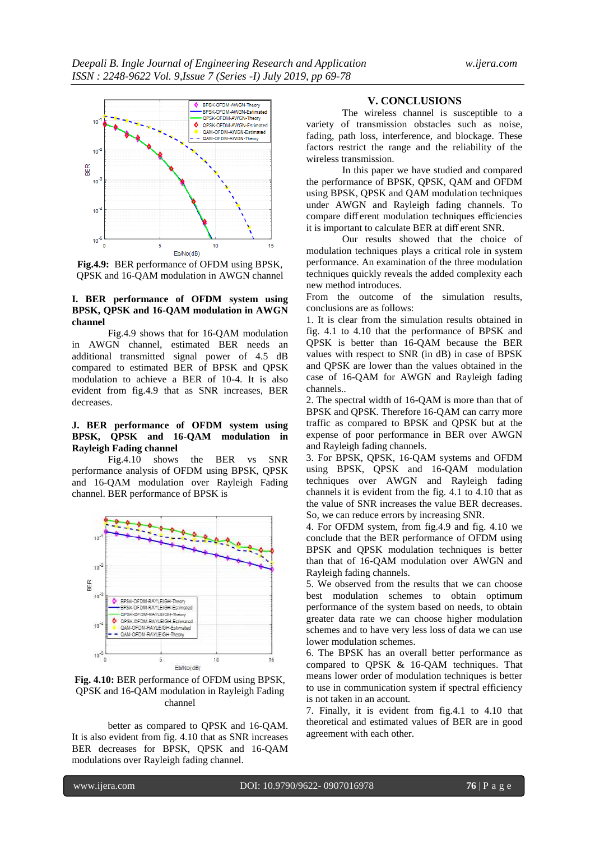

**Fig.4.9:** BER performance of OFDM using BPSK, QPSK and 16-QAM modulation in AWGN channel

#### **I. BER performance of OFDM system using BPSK, QPSK and 16-QAM modulation in AWGN channel**

Fig.4.9 shows that for 16-QAM modulation in AWGN channel, estimated BER needs an additional transmitted signal power of 4.5 dB compared to estimated BER of BPSK and QPSK modulation to achieve a BER of 10-4. It is also evident from fig.4.9 that as SNR increases, BER decreases.

## **J. BER performance of OFDM system using BPSK, QPSK and 16-QAM modulation in Rayleigh Fading channel**

Fig.4.10 shows the BER vs SNR performance analysis of OFDM using BPSK, QPSK and 16-QAM modulation over Rayleigh Fading channel. BER performance of BPSK is



**Fig. 4.10:** BER performance of OFDM using BPSK, QPSK and 16-QAM modulation in Rayleigh Fading channel

better as compared to QPSK and 16-QAM. It is also evident from fig. 4.10 that as SNR increases BER decreases for BPSK, QPSK and 16-QAM modulations over Rayleigh fading channel.

#### **V. CONCLUSIONS**

The wireless channel is susceptible to a variety of transmission obstacles such as noise, fading, path loss, interference, and blockage. These factors restrict the range and the reliability of the wireless transmission.

In this paper we have studied and compared the performance of BPSK, QPSK, QAM and OFDM using BPSK, QPSK and QAM modulation techniques under AWGN and Rayleigh fading channels. To compare diff erent modulation techniques efficiencies it is important to calculate BER at diff erent SNR.

Our results showed that the choice of modulation techniques plays a critical role in system performance. An examination of the three modulation techniques quickly reveals the added complexity each new method introduces.

From the outcome of the simulation results, conclusions are as follows:

1. It is clear from the simulation results obtained in fig. 4.1 to 4.10 that the performance of BPSK and QPSK is better than 16-QAM because the BER values with respect to SNR (in dB) in case of BPSK and QPSK are lower than the values obtained in the case of 16-QAM for AWGN and Rayleigh fading channels..

2. The spectral width of 16-QAM is more than that of BPSK and QPSK. Therefore 16-QAM can carry more traffic as compared to BPSK and QPSK but at the expense of poor performance in BER over AWGN and Rayleigh fading channels.

3. For BPSK, QPSK, 16-QAM systems and OFDM using BPSK, QPSK and 16-QAM modulation techniques over AWGN and Rayleigh fading channels it is evident from the fig. 4.1 to 4.10 that as the value of SNR increases the value BER decreases. So, we can reduce errors by increasing SNR.

4. For OFDM system, from fig.4.9 and fig. 4.10 we conclude that the BER performance of OFDM using BPSK and QPSK modulation techniques is better than that of 16-QAM modulation over AWGN and Rayleigh fading channels.

5. We observed from the results that we can choose best modulation schemes to obtain optimum performance of the system based on needs, to obtain greater data rate we can choose higher modulation schemes and to have very less loss of data we can use lower modulation schemes.

6. The BPSK has an overall better performance as compared to QPSK & 16-QAM techniques. That means lower order of modulation techniques is better to use in communication system if spectral efficiency is not taken in an account.

7. Finally, it is evident from fig.4.1 to 4.10 that theoretical and estimated values of BER are in good agreement with each other.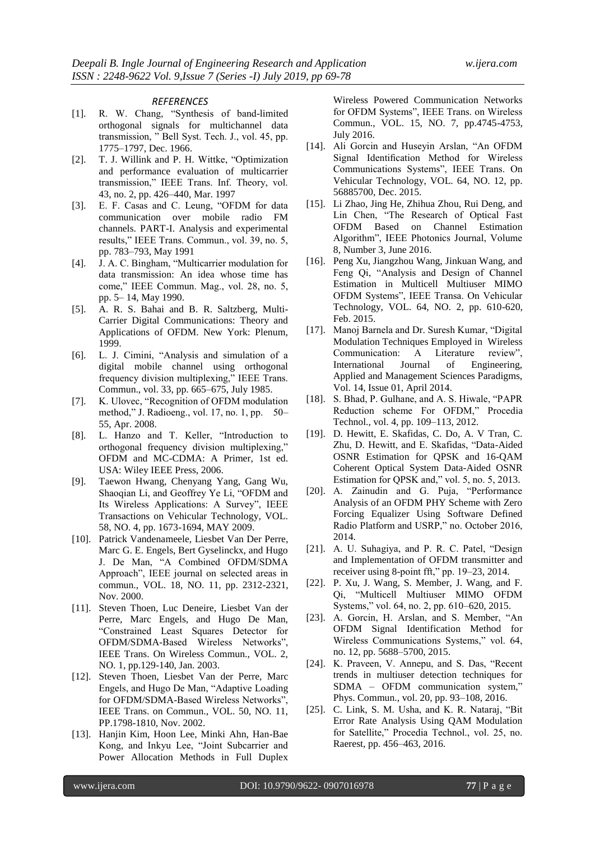#### *REFERENCES*

- [1]. R. W. Chang, "Synthesis of band-limited orthogonal signals for multichannel data transmission, " Bell Syst. Tech. J., vol. 45, pp. 1775–1797, Dec. 1966.
- [2]. T. J. Willink and P. H. Wittke, "Optimization and performance evaluation of multicarrier transmission," IEEE Trans. Inf. Theory, vol. 43, no. 2, pp. 426–440, Mar. 1997
- [3]. E. F. Casas and C. Leung, "OFDM for data communication over mobile radio FM channels. PART-I. Analysis and experimental results," IEEE Trans. Commun., vol. 39, no. 5, pp. 783–793, May 1991
- [4]. J. A. C. Bingham, "Multicarrier modulation for data transmission: An idea whose time has come," IEEE Commun. Mag., vol. 28, no. 5, pp. 5– 14, May 1990.
- [5]. A. R. S. Bahai and B. R. Saltzberg, Multi-Carrier Digital Communications: Theory and Applications of OFDM. New York: Plenum, 1999.
- [6]. L. J. Cimini, "Analysis and simulation of a digital mobile channel using orthogonal frequency division multiplexing," IEEE Trans. Commun., vol. 33, pp. 665–675, July 1985.
- [7]. K. Ulovec, "Recognition of OFDM modulation method," J. Radioeng., vol. 17, no. 1, pp. 50– 55, Apr. 2008.
- [8]. L. Hanzo and T. Keller, "Introduction to orthogonal frequency division multiplexing," OFDM and MC-CDMA: A Primer, 1st ed. USA: Wiley IEEE Press, 2006.
- [9]. Taewon Hwang, Chenyang Yang, Gang Wu, Shaoqian Li, and Geoffrey Ye Li, "OFDM and Its Wireless Applications: A Survey", IEEE Transactions on Vehicular Technology, VOL. 58, NO. 4, pp. 1673-1694, MAY 2009.
- [10]. Patrick Vandenameele, Liesbet Van Der Perre, Marc G. E. Engels, Bert Gyselinckx, and Hugo J. De Man, "A Combined OFDM/SDMA Approach", IEEE journal on selected areas in commun., VOL. 18, NO. 11, pp. 2312-2321, Nov. 2000.
- [11]. Steven Thoen, Luc Deneire, Liesbet Van der Perre, Marc Engels, and Hugo De Man, "Constrained Least Squares Detector for OFDM/SDMA-Based Wireless Networks", IEEE Trans. On Wireless Commun., VOL. 2, NO. 1, pp.129-140, Jan. 2003.
- [12]. Steven Thoen, Liesbet Van der Perre, Marc Engels, and Hugo De Man, "Adaptive Loading for OFDM/SDMA-Based Wireless Networks", IEEE Trans. on Commun., VOL. 50, NO. 11, PP.1798-1810, Nov. 2002.
- [13]. Hanjin Kim, Hoon Lee, Minki Ahn, Han-Bae Kong, and Inkyu Lee, "Joint Subcarrier and Power Allocation Methods in Full Duplex

Wireless Powered Communication Networks for OFDM Systems", IEEE Trans. on Wireless Commun., VOL. 15, NO. 7, pp.4745-4753, July 2016.

- [14]. Ali Gorcin and Huseyin Arslan, "An OFDM Signal Identification Method for Wireless Communications Systems", IEEE Trans. On Vehicular Technology, VOL. 64, NO. 12, pp. 56885700, Dec. 2015.
- [15]. Li Zhao, Jing He, Zhihua Zhou, Rui Deng, and Lin Chen, "The Research of Optical Fast OFDM Based on Channel Estimation Algorithm", IEEE Photonics Journal, Volume 8, Number 3, June 2016.
- [16]. Peng Xu, Jiangzhou Wang, Jinkuan Wang, and Feng Qi, "Analysis and Design of Channel Estimation in Multicell Multiuser MIMO OFDM Systems", IEEE Transa. On Vehicular Technology, VOL. 64, NO. 2, pp. 610-620, Feb. 2015.
- [17]. Manoj Barnela and Dr. Suresh Kumar, "Digital Modulation Techniques Employed in Wireless Communication: A Literature review", International Journal of Engineering, Applied and Management Sciences Paradigms, Vol. 14, Issue 01, April 2014.
- [18]. S. Bhad, P. Gulhane, and A. S. Hiwale, "PAPR Reduction scheme For OFDM," Procedia Technol., vol. 4, pp. 109–113, 2012.
- [19]. D. Hewitt, E. Skafidas, C. Do, A. V Tran, C. Zhu, D. Hewitt, and E. Skafidas, "Data-Aided OSNR Estimation for QPSK and 16-QAM Coherent Optical System Data-Aided OSNR Estimation for QPSK and," vol. 5, no. 5, 2013.
- [20]. A. Zainudin and G. Puja, "Performance Analysis of an OFDM PHY Scheme with Zero Forcing Equalizer Using Software Defined Radio Platform and USRP," no. October 2016, 2014.
- [21]. A. U. Suhagiya, and P. R. C. Patel, "Design and Implementation of OFDM transmitter and receiver using 8-point fft," pp. 19–23, 2014.
- [22]. P. Xu, J. Wang, S. Member, J. Wang, and F. Qi, "Multicell Multiuser MIMO OFDM Systems," vol. 64, no. 2, pp. 610–620, 2015.
- [23]. A. Gorcin, H. Arslan, and S. Member, "An OFDM Signal Identification Method for Wireless Communications Systems," vol. 64, no. 12, pp. 5688–5700, 2015.
- [24]. K. Praveen, V. Annepu, and S. Das, "Recent trends in multiuser detection techniques for SDMA – OFDM communication system," Phys. Commun., vol. 20, pp. 93–108, 2016.
- [25]. C. Link, S. M. Usha, and K. R. Nataraj, "Bit Error Rate Analysis Using QAM Modulation for Satellite," Procedia Technol., vol. 25, no. Raerest, pp. 456–463, 2016.